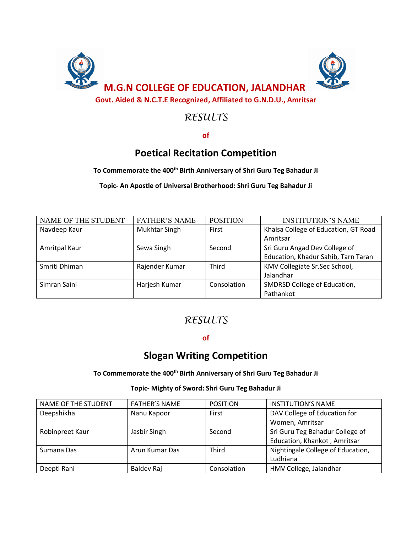

# *RESULTS*

**of**

## **Poetical Recitation Competition**

#### **To Commemorate the 400th Birth Anniversary of Shri Guru Teg Bahadur Ji**

**Topic- An Apostle of Universal Brotherhood: Shri Guru Teg Bahadur Ji**

| NAME OF THE STUDENT | <b>FATHER'S NAME</b> | <b>POSITION</b> | <b>INSTITUTION'S NAME</b>            |
|---------------------|----------------------|-----------------|--------------------------------------|
| Navdeep Kaur        | Mukhtar Singh        | First           | Khalsa College of Education, GT Road |
|                     |                      |                 | Amritsar                             |
| Amritpal Kaur       | Sewa Singh           | Second          | Sri Guru Angad Dev College of        |
|                     |                      |                 | Education, Khadur Sahib, Tarn Taran  |
| Smriti Dhiman       | Rajender Kumar       | <b>Third</b>    | KMV Collegiate Sr.Sec School,        |
|                     |                      |                 | Jalandhar                            |
| Simran Saini        | Harjesh Kumar        | Consolation     | SMDRSD College of Education,         |
|                     |                      |                 | Pathankot                            |

## *RESULTS*

#### **of**

## **Slogan Writing Competition**

#### **To Commemorate the 400th Birth Anniversary of Shri Guru Teg Bahadur Ji**

#### **Topic- Mighty of Sword: Shri Guru Teg Bahadur Ji**

| <b>NAME OF THE STUDENT</b> | <b>FATHER'S NAME</b> | <b>POSITION</b> | <b>INSTITUTION'S NAME</b>         |
|----------------------------|----------------------|-----------------|-----------------------------------|
| Deepshikha                 | Nanu Kapoor          | First           | DAV College of Education for      |
|                            |                      |                 | Women, Amritsar                   |
| Robinpreet Kaur            | Jasbir Singh         | Second          | Sri Guru Teg Bahadur College of   |
|                            |                      |                 | Education, Khankot, Amritsar      |
| Sumana Das                 | Arun Kumar Das       | <b>Third</b>    | Nightingale College of Education, |
|                            |                      |                 | Ludhiana                          |
| Deepti Rani                | Baldev Raj           | Consolation     | HMV College, Jalandhar            |